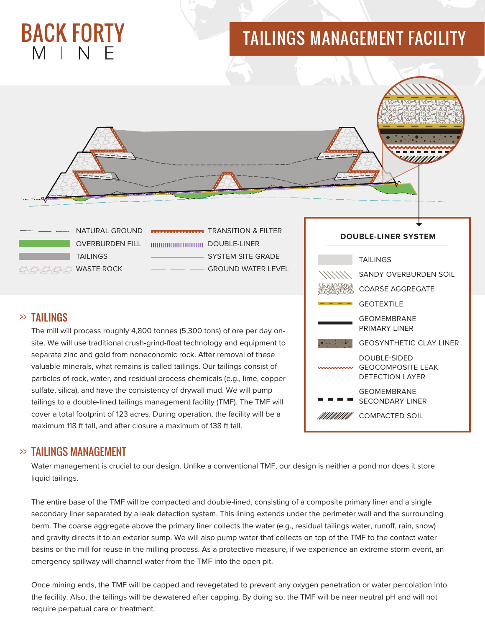# **BACK FORTY** MINF

## TAILINGS MANAGEMENT FACILITY



**TAILINGS WASTE ROCK** 

DOUBLE-LINER

- SYSTEM SITE GRADE GROUND WATER LEVEL

## >> TAILINGS

The mill will process roughly 4,800 tonnes (5,300 tons) of ore per day onsite. We will use traditional crush-grind-float technology and equipment to separate zinc and gold from noneconomic rock. After removal of these valuable minerals, what remains is called tailings. Our tailings consist of particles of rock, water, and residual process chemicals (e.g., lime, copper sulfate, silica), and have the consistency of drywall mud. We will pump tailings to a double-lined tailings management facility (TMF). The TMF will cover a total footprint of 123 acres. During operation, the facility will be a maximum 118 ft tall, and after closure a maximum of 138 ft tall.



#### >> TAILINGS MANAGEMENT

Water management is crucial to our design. Unlike a conventional TMF, our design is neither a pond nor does it store liquid tailings.

The entire base of the TMF will be compacted and double-lined, consisting of a composite primary liner and a single secondary liner separated by a leak detection system. This lining extends under the perimeter wall and the surrounding berm. The coarse aggregate above the primary liner collects the water (e.g., residual tailings water, runoff, rain, snow) and gravity directs it to an exterior sump. We will also pump water that collects on top of the TMF to the contact water basins or the mill for reuse in the milling process. As a protective measure, if we experience an extreme storm event, an emergency spillway will channel water from the TMF into the open pit.

Once mining ends, the TMF will be capped and revegetated to prevent any oxygen penetration or water percolation into the facility. Also, the tailings will be dewatered after capping. By doing so, the TMF will be near neutral pH and will not require perpetual care or treatment.